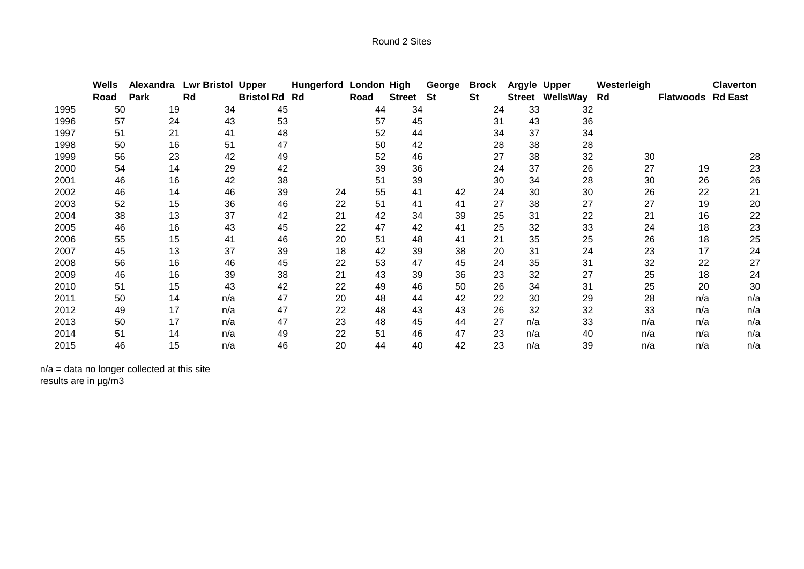|      | Wells | Alexandra | <b>Lwr Bristol Upper</b> |                      | Hungerford London High |      |               | George | <b>Brock</b> | Argyle Upper |                        | Westerleigh |                          | <b>Claverton</b> |
|------|-------|-----------|--------------------------|----------------------|------------------------|------|---------------|--------|--------------|--------------|------------------------|-------------|--------------------------|------------------|
|      | Road  | Park      | Rd                       | <b>Bristol Rd Rd</b> |                        | Road | <b>Street</b> | St     | <b>St</b>    |              | <b>Street WellsWay</b> | Rd          | <b>Flatwoods Rd East</b> |                  |
| 1995 | 50    | 19        | 34                       | 45                   |                        | 44   | 34            |        | 24           | 33           | 32                     |             |                          |                  |
| 1996 | 57    | 24        | 43                       | 53                   |                        | 57   | 45            |        | 31           | 43           | 36                     |             |                          |                  |
| 1997 | 51    | 21        | 41                       | 48                   |                        | 52   | 44            |        | 34           | 37           | 34                     |             |                          |                  |
| 1998 | 50    | 16        | 51                       | 47                   |                        | 50   | 42            |        | 28           | 38           | 28                     |             |                          |                  |
| 1999 | 56    | 23        | 42                       | 49                   |                        | 52   | 46            |        | 27           | 38           | 32                     | 30          |                          | 28               |
| 2000 | 54    | 14        | 29                       | 42                   |                        | 39   | 36            |        | 24           | 37           | 26                     | 27          | 19                       | 23               |
| 2001 | 46    | 16        | 42                       | 38                   |                        | 51   | 39            |        | 30           | 34           | 28                     | 30          | 26                       | 26               |
| 2002 | 46    | 14        | 46                       | 39                   | 24                     | 55   | 41            | 42     | 24           | 30           | 30                     | 26          | 22                       | 21               |
| 2003 | 52    | 15        | 36                       | 46                   | 22                     | 51   | 41            | 41     | 27           | 38           | 27                     | 27          | 19                       | 20               |
| 2004 | 38    | 13        | 37                       | 42                   | 21                     | 42   | 34            | 39     | 25           | 31           | 22                     | 21          | 16                       | 22               |
| 2005 | 46    | 16        | 43                       | 45                   | 22                     | 47   | 42            | 41     | 25           | 32           | 33                     | 24          | 18                       | 23               |
| 2006 | 55    | 15        | 41                       | 46                   | 20                     | 51   | 48            | 41     | 21           | 35           | 25                     | 26          | 18                       | 25               |
| 2007 | 45    | 13        | 37                       | 39                   | 18                     | 42   | 39            | 38     | 20           | 31           | 24                     | 23          | 17                       | 24               |
| 2008 | 56    | 16        | 46                       | 45                   | 22                     | 53   | 47            | 45     | 24           | 35           | 31                     | 32          | 22                       | 27               |
| 2009 | 46    | 16        | 39                       | 38                   | 21                     | 43   | 39            | 36     | 23           | 32           | 27                     | 25          | 18                       | 24               |
| 2010 | 51    | 15        | 43                       | 42                   | 22                     | 49   | 46            | 50     | 26           | 34           | 31                     | 25          | 20                       | 30               |
| 2011 | 50    | 14        | n/a                      | 47                   | 20                     | 48   | 44            | 42     | 22           | 30           | 29                     | 28          | n/a                      | n/a              |
| 2012 | 49    | 17        | n/a                      | 47                   | 22                     | 48   | 43            | 43     | 26           | 32           | 32                     | 33          | n/a                      | n/a              |
| 2013 | 50    | 17        | n/a                      | 47                   | 23                     | 48   | 45            | 44     | 27           | n/a          | 33                     | n/a         | n/a                      | n/a              |
| 2014 | 51    | 14        | n/a                      | 49                   | 22                     | 51   | 46            | 47     | 23           | n/a          | 40                     | n/a         | n/a                      | n/a              |
| 2015 | 46    | 15        | n/a                      | 46                   | 20                     | 44   | 40            | 42     | 23           | n/a          | 39                     | n/a         | n/a                      | n/a              |

n/a = data no longer collected at this site results are in µg/m3